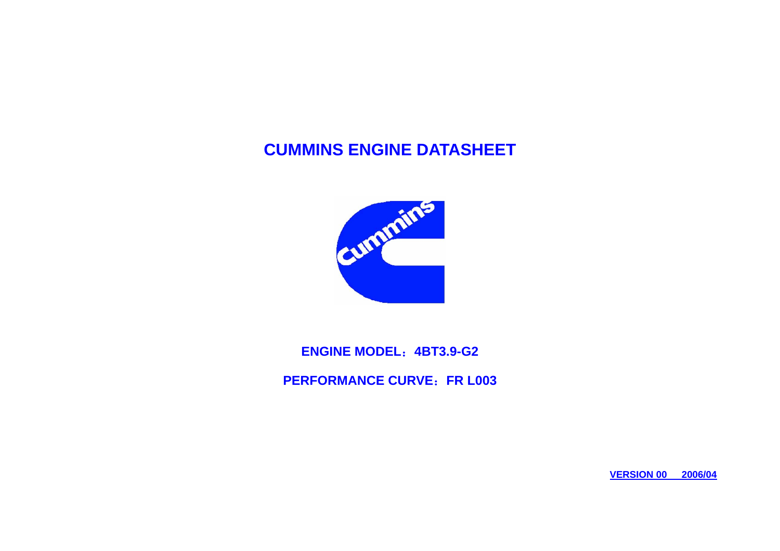## **CUMMINS ENGINE DATASHEET**



**ENGINE MODEL**:**4BT3.9-G2** 

**PERFORMANCE CURVE**:**FR L003** 

**VERSION 00 2006/04**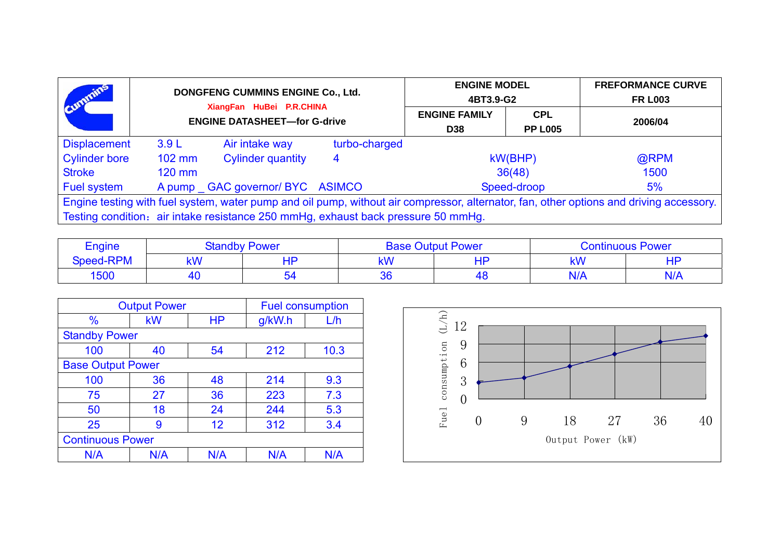| Cummins                                                                                                                                 | DONGFENG CUMMINS ENGINE Co., Ltd.<br>XiangFan HuBei P.R.CHINA |                                 | <b>ENGINE MODEL</b><br>4BT3.9-G2 |                                    | <b>FREFORMANCE CURVE</b><br><b>FR L003</b> |         |
|-----------------------------------------------------------------------------------------------------------------------------------------|---------------------------------------------------------------|---------------------------------|----------------------------------|------------------------------------|--------------------------------------------|---------|
|                                                                                                                                         | <b>ENGINE DATASHEET-for G-drive</b>                           |                                 |                                  | <b>ENGINE FAMILY</b><br><b>D38</b> | <b>CPL</b><br><b>PP L005</b>               | 2006/04 |
| <b>Displacement</b>                                                                                                                     | 3.9L                                                          | Air intake way                  | turbo-charged                    |                                    |                                            |         |
| <b>Cylinder bore</b>                                                                                                                    | 102 mm                                                        | <b>Cylinder quantity</b>        | 4                                |                                    | kW(BHP)                                    | @RPM    |
| <b>Stroke</b>                                                                                                                           | $120$ mm                                                      |                                 |                                  |                                    | 36(48)                                     | 1500    |
| Fuel system                                                                                                                             |                                                               | A pump GAC governor/ BYC ASIMCO |                                  |                                    | Speed-droop                                | 5%      |
| Engine testing with fuel system, water pump and oil pump, without air compressor, alternator, fan, other options and driving accessory. |                                                               |                                 |                                  |                                    |                                            |         |
| Testing condition: air intake resistance 250 mmHg, exhaust back pressure 50 mmHg.                                                       |                                                               |                                 |                                  |                                    |                                            |         |

| Engine           | <b>Standby Power</b> |    | <b>Base Output Power</b> |    | <b>Continuous Power</b> |     |
|------------------|----------------------|----|--------------------------|----|-------------------------|-----|
| <b>Speed-RPM</b> | <b>LAN</b><br>18 V V | HP | kW                       | uв | kW                      | -10 |
| 1500             |                      | 54 | 36                       |    | $N/\Delta$              |     |

| <b>Output Power</b>     |                          |           | <b>Fuel consumption</b> |      |  |  |  |
|-------------------------|--------------------------|-----------|-------------------------|------|--|--|--|
| $\frac{0}{0}$           | kW                       | <b>HP</b> | g/kW.h                  | L/h  |  |  |  |
|                         | <b>Standby Power</b>     |           |                         |      |  |  |  |
| 100                     | 40                       | 54        | 212                     | 10.3 |  |  |  |
|                         | <b>Base Output Power</b> |           |                         |      |  |  |  |
| 100                     | 36                       | 48        | 214                     | 9.3  |  |  |  |
| 75                      | 27                       | 36        | 223                     | 7.3  |  |  |  |
| 50                      | 18                       | 24        | 244                     | 5.3  |  |  |  |
| 25                      | 9                        | 12        | 312                     | 3.4  |  |  |  |
| <b>Continuous Power</b> |                          |           |                         |      |  |  |  |
| N/A                     | N/A                      | N/A       | N/A                     | N/A  |  |  |  |

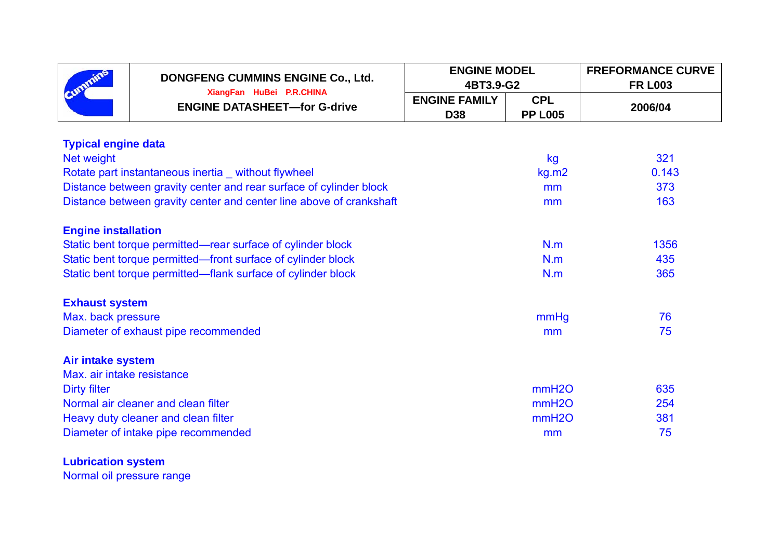|                                                 | DONGFENG CUMMINS ENGINE Co., Ltd.<br>XiangFan HuBei P.R.CHINA       | <b>ENGINE MODEL</b><br>4BT3.9-G2   |                              | <b>FREFORMANCE CURVE</b><br><b>FR L003</b> |  |  |  |
|-------------------------------------------------|---------------------------------------------------------------------|------------------------------------|------------------------------|--------------------------------------------|--|--|--|
|                                                 | <b>ENGINE DATASHEET-for G-drive</b>                                 | <b>ENGINE FAMILY</b><br><b>D38</b> | <b>CPL</b><br><b>PP L005</b> | 2006/04                                    |  |  |  |
| <b>Typical engine data</b>                      |                                                                     |                                    |                              |                                            |  |  |  |
| Net weight                                      |                                                                     |                                    | kg                           | 321                                        |  |  |  |
|                                                 | Rotate part instantaneous inertia _ without flywheel                |                                    | kg.m2                        | 0.143                                      |  |  |  |
|                                                 | Distance between gravity center and rear surface of cylinder block  |                                    | mm                           | 373                                        |  |  |  |
|                                                 | Distance between gravity center and center line above of crankshaft |                                    | mm                           | 163                                        |  |  |  |
|                                                 | <b>Engine installation</b>                                          |                                    |                              |                                            |  |  |  |
|                                                 | Static bent torque permitted—rear surface of cylinder block         |                                    | N.m                          | 1356                                       |  |  |  |
|                                                 | Static bent torque permitted—front surface of cylinder block        |                                    | N.m                          | 435                                        |  |  |  |
|                                                 | Static bent torque permitted—flank surface of cylinder block        |                                    | N.m                          | 365                                        |  |  |  |
| <b>Exhaust system</b>                           |                                                                     |                                    |                              |                                            |  |  |  |
| Max. back pressure                              |                                                                     |                                    | mmHg                         | 76                                         |  |  |  |
|                                                 | Diameter of exhaust pipe recommended                                |                                    | mm                           | 75                                         |  |  |  |
| Air intake system<br>Max. air intake resistance |                                                                     |                                    |                              |                                            |  |  |  |
| <b>Dirty filter</b>                             |                                                                     |                                    | mmH2O                        | 635                                        |  |  |  |
| Normal air cleaner and clean filter             |                                                                     |                                    | mmH2O                        | 254                                        |  |  |  |
|                                                 | Heavy duty cleaner and clean filter                                 |                                    | mmH2O                        | 381                                        |  |  |  |
|                                                 | Diameter of intake pipe recommended                                 |                                    | mm                           | 75                                         |  |  |  |

**Lubrication system**  Normal oil pressure range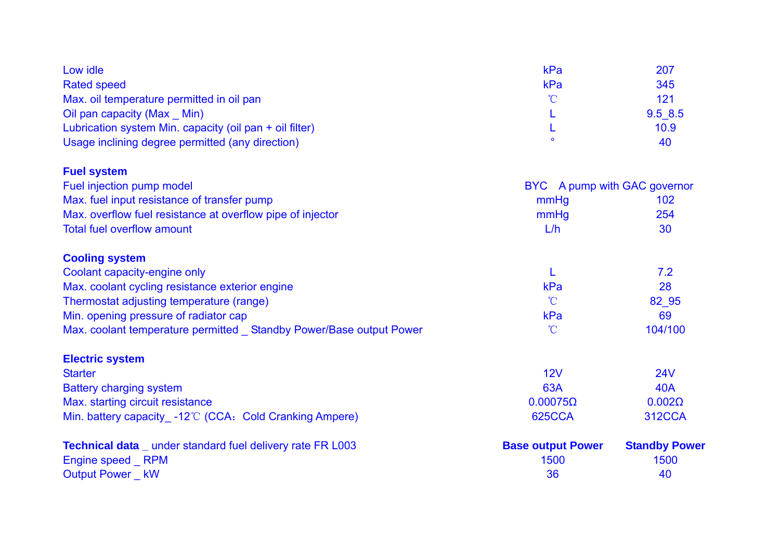| Low idle                                                             | kPa                          | 207                  |
|----------------------------------------------------------------------|------------------------------|----------------------|
| <b>Rated speed</b>                                                   | kPa                          | 345                  |
| Max. oil temperature permitted in oil pan                            | $\mathcal{C}$                | 121                  |
| Oil pan capacity (Max Min)                                           | L                            | 9.5 8.5              |
| Lubrication system Min. capacity (oil pan + oil filter)              |                              | 10.9                 |
| Usage inclining degree permitted (any direction)                     |                              | 40                   |
| <b>Fuel system</b>                                                   |                              |                      |
| Fuel injection pump model                                            | BYC A pump with GAC governor |                      |
| Max. fuel input resistance of transfer pump                          | mmHg                         | 102                  |
| Max. overflow fuel resistance at overflow pipe of injector           | mmHg                         | 254                  |
| <b>Total fuel overflow amount</b>                                    | L/h                          | 30                   |
| <b>Cooling system</b>                                                |                              |                      |
| Coolant capacity-engine only                                         |                              | 7.2                  |
| Max. coolant cycling resistance exterior engine                      | kPa                          | 28                   |
| Thermostat adjusting temperature (range)                             | $\mathcal{C}$                | 82 95                |
| Min. opening pressure of radiator cap                                | kPa                          | 69                   |
| Max. coolant temperature permitted _ Standby Power/Base output Power | $\mathcal{C}$                | 104/100              |
| <b>Electric system</b>                                               |                              |                      |
| <b>Starter</b>                                                       | 12V                          | <b>24V</b>           |
| <b>Battery charging system</b>                                       | <b>63A</b>                   | <b>40A</b>           |
| Max. starting circuit resistance                                     | $0.00075\Omega$              | $0.002\Omega$        |
| Min. battery capacity -12°C (CCA: Cold Cranking Ampere)              | <b>625CCA</b>                | <b>312CCA</b>        |
| <b>Technical data</b> _ under standard fuel delivery rate FR L003    | <b>Base output Power</b>     | <b>Standby Power</b> |
| Engine speed RPM                                                     | 1500                         | 1500                 |
| <b>Output Power KW</b>                                               | 36                           | 40                   |